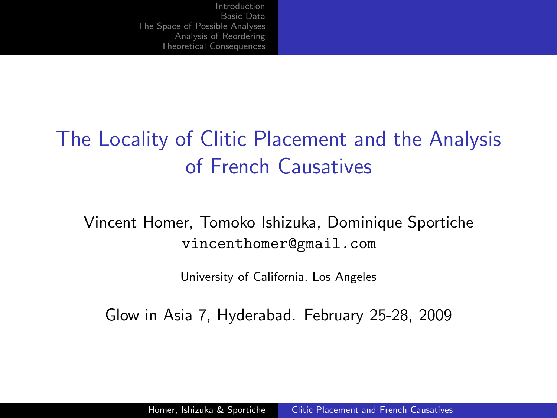# The Locality of Clitic Placement and the Analysis of French Causatives

Vincent Homer, Tomoko Ishizuka, Dominique Sportiche vincenthomer@gmail.com

<span id="page-0-0"></span>University of California, Los Angeles

Glow in Asia 7, Hyderabad. February 25-28, 2009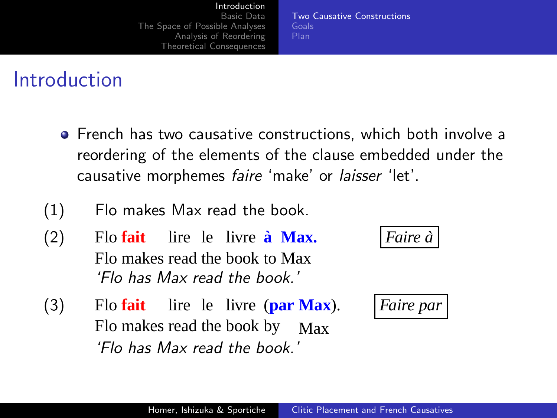[Two Causative Constructions](#page-1-0)

#### Introduction

- **•** French has two causative constructions, which both involve a reordering of the elements of the clause embedded under the causative morphemes faire 'make' or laisser 'let'.
- (1) Flo makes Max read the book.
- $(2)$ Flo makes read the book to Max **fait** lire le livre **a`** 'Flo has Max read the book.'
- $(3)$ Flo makes read the book by Max **Flo** fait lire le livre (**par** 'Flo has Max read the book.'

**Max.** *Faire a`*

<span id="page-1-0"></span>**Max**). *Faire par*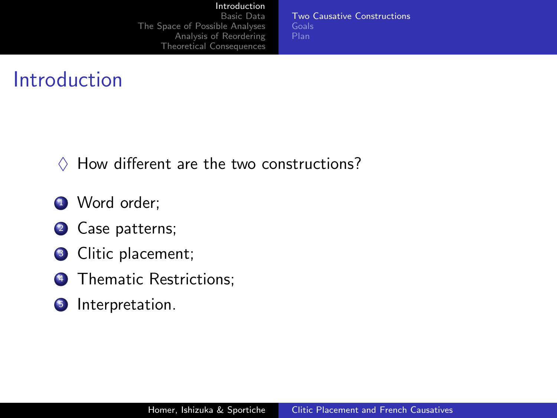#### [Introduction](#page-1-0)

[Basic Data](#page-7-0) [The Space of Possible Analyses](#page-13-0) [Analysis of Reordering](#page-33-0) [Theoretical Consequences](#page-48-0) [Two Causative Constructions](#page-1-0) [Plan](#page-6-0)

- $\Diamond$  How different are the two constructions?
- **1** Word order:
- <sup>2</sup> Case patterns;
- **3** Clitic placement;
- **4** Thematic Restrictions:
- **5** Interpretation.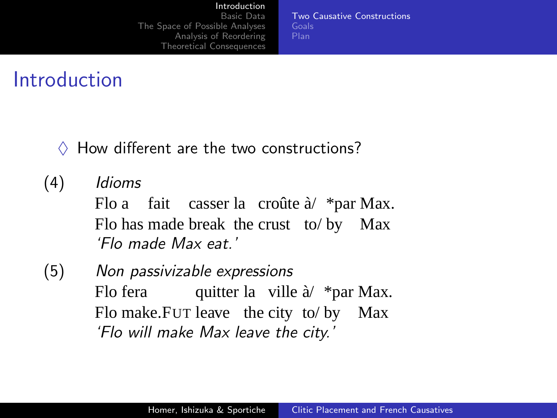#### [Introduction](#page-1-0)

[Basic Data](#page-7-0) [The Space of Possible Analyses](#page-13-0) [Analysis of Reordering](#page-33-0) [Theoretical Consequences](#page-48-0) [Two Causative Constructions](#page-1-0)

- $\Diamond$  How different are the two constructions?
- (4) Idioms Flo a Flo has made break the crust to/ by Max fait casser la croûte à/ \*par Max. 'Flo made Max eat.'
- (5) Non passivizable expressions Flo fera Flo make.Fur leave the city to/by Max quitter la ville à/ \*par Max. 'Flo will make Max leave the city.'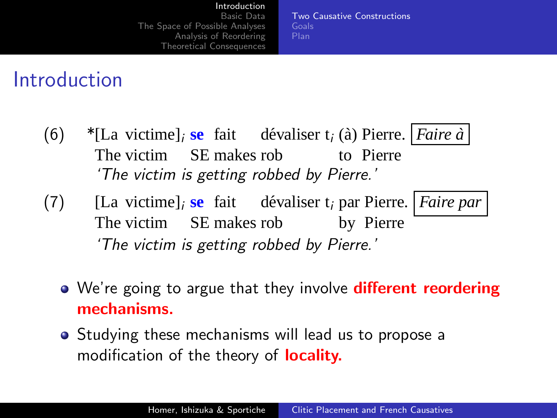[Two Causative Constructions](#page-1-0)

- (6) \*[La victime]<sub>i</sub> se fait dévaliser t<sub>i</sub> (à) Pierre. *Faire à* The victim SE makes rob to Pierre 'The victim is getting robbed by Pierre.'
- (7) [La victime]<sub>i</sub> se fait dévaliser t<sub>i</sub> par Pierre. | *Faire par* The victim SE makes rob by Pierre 'The victim is getting robbed by Pierre.'
	- We're going to argue that they involve **different reordering** mechanisms.
	- **•** Studying these mechanisms will lead us to propose a modification of the theory of **locality.**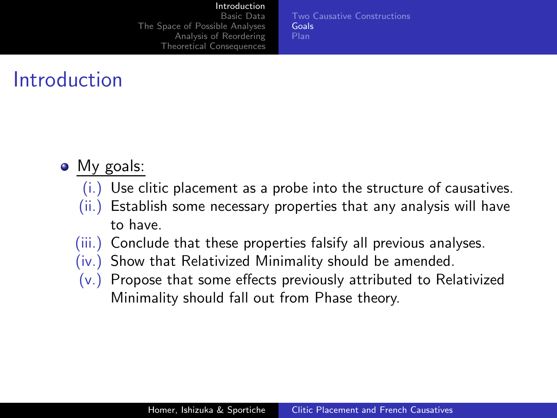#### [Introduction](#page-1-0)

[Basic Data](#page-7-0) [The Space of Possible Analyses](#page-13-0) [Analysis of Reordering](#page-33-0) [Theoretical Consequences](#page-48-0) <span id="page-5-0"></span>[Two Causative Constructions](#page-1-0) [Goals](#page-5-0)

- My goals:
	- (i.) Use clitic placement as a probe into the structure of causatives.
	- (ii.) Establish some necessary properties that any analysis will have to have.
	- (iii.) Conclude that these properties falsify all previous analyses.
	- (iv.) Show that Relativized Minimality should be amended.
	- (v.) Propose that some effects previously attributed to Relativized Minimality should fall out from Phase theory.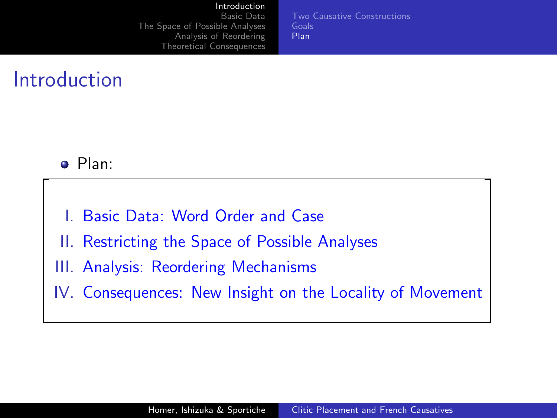#### [Introduction](#page-1-0)

[Basic Data](#page-7-0) [The Space of Possible Analyses](#page-13-0) [Analysis of Reordering](#page-33-0) [Theoretical Consequences](#page-48-0) [Two Causative Constructions](#page-1-0) [Plan](#page-6-0)

- Plan:
- Basic Data: Word Order and Case
- II. Restricting the Space of Possible Analyses
- III. Analysis: Reordering Mechanisms
- <span id="page-6-0"></span>IV. Consequences: New Insight on the Locality of Movement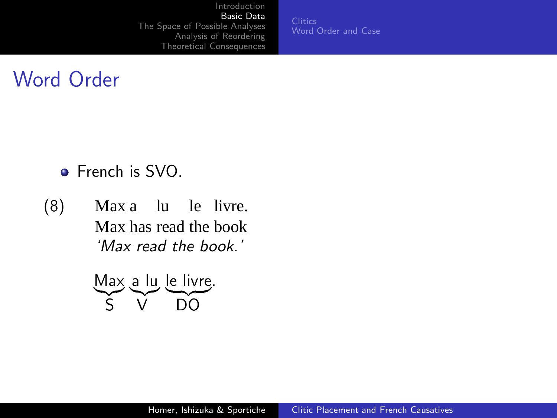**[Clitics](#page-8-0)** [Word Order and Case](#page-10-0)

### Word Order

- French is SVO.
- (8) Max a lu le livre. Max has read the book 'Max read the book.'

<span id="page-7-0"></span>Max a lu le livre. S V DO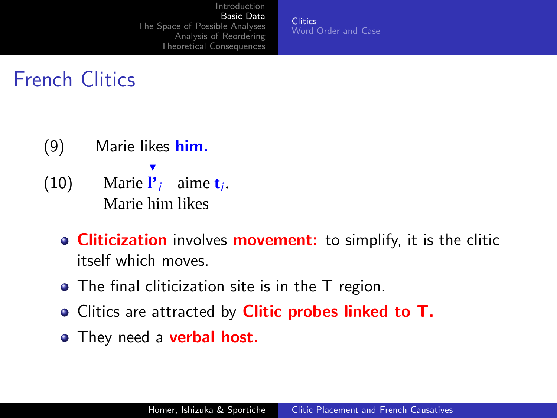<span id="page-8-0"></span>**[Clitics](#page-8-0)** [Word Order and Case](#page-10-0)

# French Clitics

- (9) Marie likes him.
- (10) Marie  $\mathbf{l}'_i$  aime  $\mathbf{t}_i$ . Marie him likes
	- **Cliticization** involves **movement:** to simplify, it is the clitic itself which moves.
	- The final cliticization site is in the T region.
	- Clitics are attracted by **Clitic probes linked to T.**
	- They need a **verbal host.**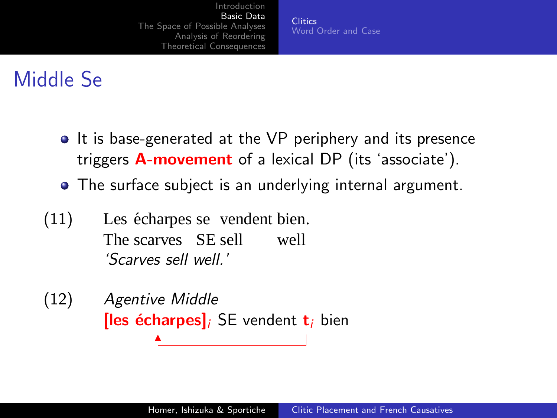**[Clitics](#page-8-0)** [Word Order and Case](#page-10-0)

# Middle Se

- It is base-generated at the VP periphery and its presence triggers **A-movement** of a lexical DP (its 'associate').
- The surface subject is an underlying internal argument.
- $(11)$ The scarves SE sell écharpes se vendent bien. well 'Scarves sell well.'

(12) Agentive Middle **[les écharpes]**; SE vendent  $t_i$  bien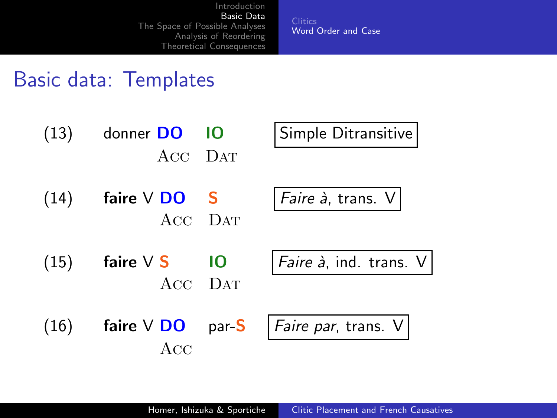<span id="page-10-0"></span>**[Clitics](#page-8-0)** [Word Order and Case](#page-10-0)

#### Basic data: Templates

| (13) | donner DO<br>ACC DAT      | 10 | Simple Ditransitive              |
|------|---------------------------|----|----------------------------------|
| (14) | faire $V$ DO S<br>ACC DAT |    | Faire à, trans. V                |
| (15) | faire $\vee$ S<br>ACC DAT | 10 | <i>Faire à</i> , ind. trans. $V$ |
| (16) | faire $V$ DO par-S<br>Acc |    | <i>Faire par</i> , trans. V      |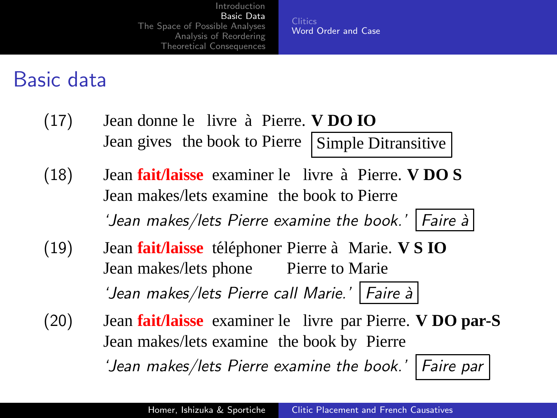**[Clitics](#page-8-0)** [Word Order and Case](#page-10-0)

#### Basic data

- $(17)$ Jean gives the book to Pierre Simple Ditransitive donne le livre `a Pierre. **V DO IO**
- $(18)$ Jean makes/lets examine the book to Pierre **fait/laisse** examiner le livre à Pierre. **V DO S** 'Jean makes/lets Pierre examine the book.' Faire à
- $(19)$ Jean makes/lets phone fait/laisse téléphoner Pierre à Marie. V S IO Pierre to Marie 'Jean makes/lets Pierre call Marie.' Faire à
- (20) Jean **fait/laisse** examiner le livre par Pierre. **V DO par-S** Jean makes/lets examine the book by Pierre 'Jean makes/lets Pierre examine the book.' Faire par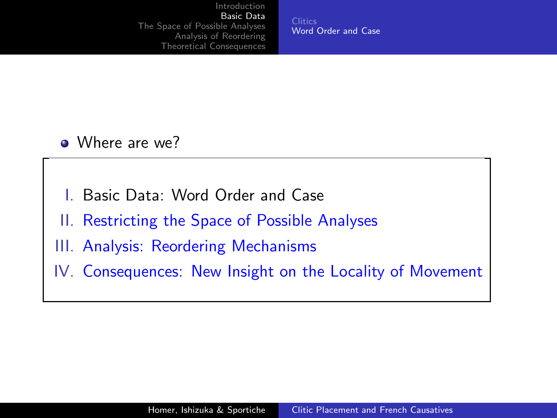**[Clitics](#page-8-0)** [Word Order and Case](#page-10-0)

- Where are we?
- Basic Data: Word Order and Case
- II. Restricting the Space of Possible Analyses
- III. Analysis: Reordering Mechanisms
- IV. Consequences: New Insight on the Locality of Movement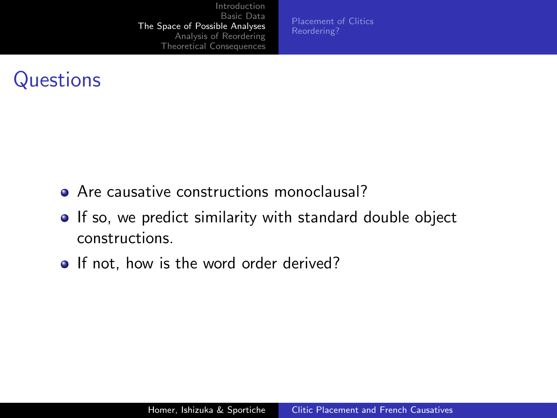[Placement of Clitics](#page-14-0)

## **Questions**

- **Are causative constructions monoclausal?**
- **If so, we predict similarity with standard double object** constructions.
- <span id="page-13-0"></span>• If not, how is the word order derived?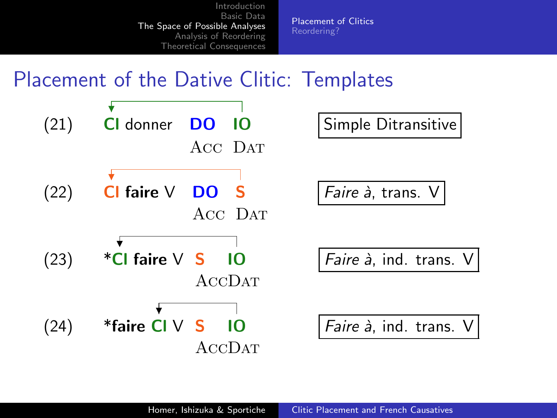<span id="page-14-0"></span>**Placement of Clitics** 

#### **Placement of the Dative Clitic: Templates**

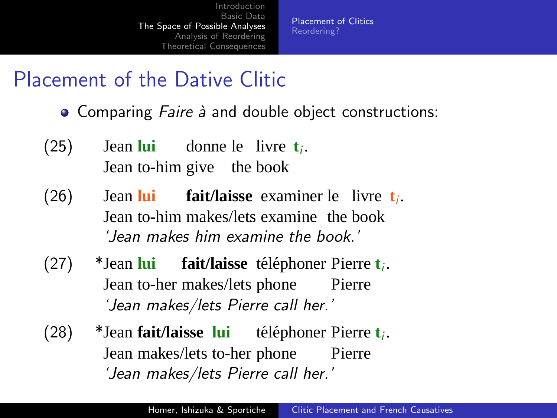[Placement of Clitics](#page-14-0) [Reordering?](#page-30-0)

### Placement of the Dative Clitic

- Comparing Faire à and double object constructions:
- $(25)$ Jean to-him give the book **lui** donne le livre **t**<sub>i</sub>.
- (26) Jean **lui fait/laisse** examiner le livre  $t_i$ . Jean to-him makes/lets examine the book 'Jean makes him examine the book.'
- (27) \*Jean **lui** Jean to-her makes/lets phone **fait/laisse** téléphoner Pierre t<sub>i</sub>. Pierre 'Jean makes/lets Pierre call her.'
- (28) \*Jean **fait/laisse lui** téléphoner Pierre t<sub>*i*</sub>. Jean makes/lets to-her phone Pierre 'Jean makes/lets Pierre call her.'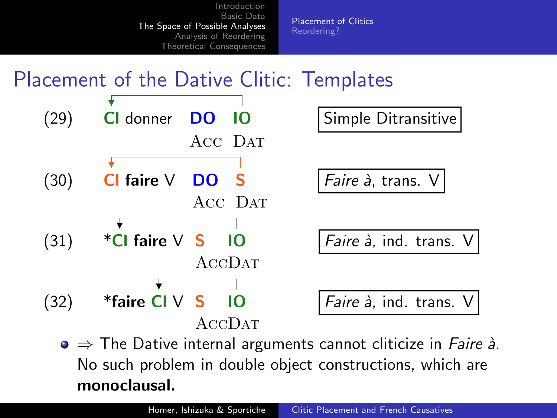**Placement of Clitics** Reordering?

#### **Placement of the Dative Clitic: Templates**



 $\bullet \Rightarrow$  The Dative internal arguments cannot cliticize in *Faire à*. No such problem in double object constructions, which are monoclausal.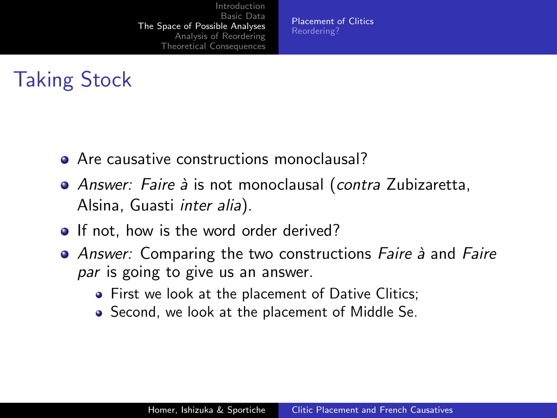[Placement of Clitics](#page-14-0) [Reordering?](#page-30-0)

# Taking Stock

- Are causative constructions monoclausal?
- Answer: Faire à is not monoclausal (contra Zubizaretta, Alsina, Guasti inter alia).
- If not, how is the word order derived?
- Answer: Comparing the two constructions Faire à and Faire par is going to give us an answer.
	- First we look at the placement of Dative Clitics;
	- Second, we look at the placement of Middle Se.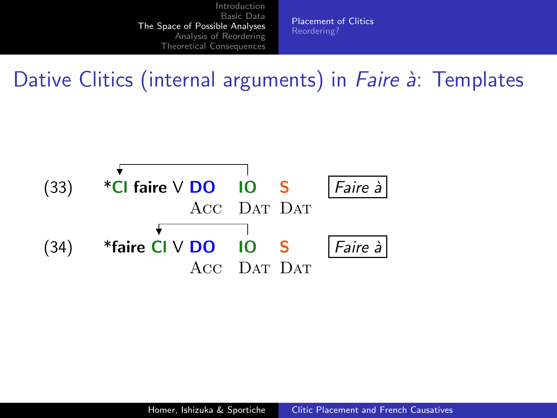**Placement of Clitics** 

# Dative Clitics (internal arguments) in *Faire à*: Templates

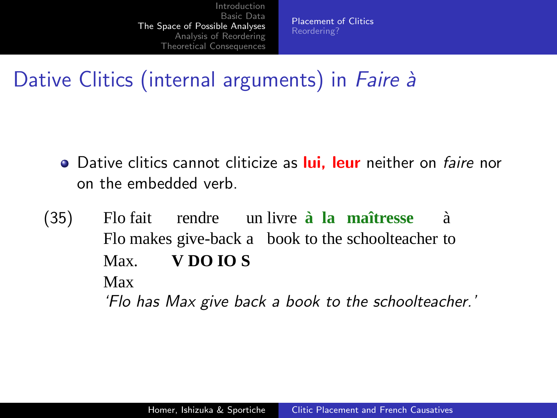[Placement of Clitics](#page-14-0)

## Dative Clitics (internal arguments) in Faire à

- **•** Dative clitics cannot cliticize as lui, leur neither on *faire* nor on the embedded verb.
- $(35)$ Flo makes give-back a book to the schoolteacher to Flo fait rendre un livre **à la maîtresse** `a Max. **V DO IO S** Max 'Flo has Max give back a book to the schoolteacher.'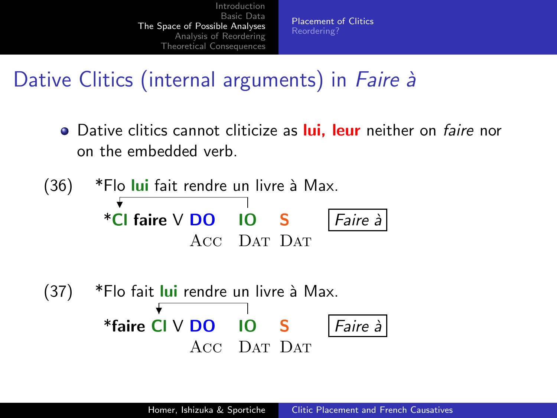[Placement of Clitics](#page-14-0)

### Dative Clitics (internal arguments) in Faire à

**•** Dative clitics cannot cliticize as lui, leur neither on *faire* nor on the embedded verb.

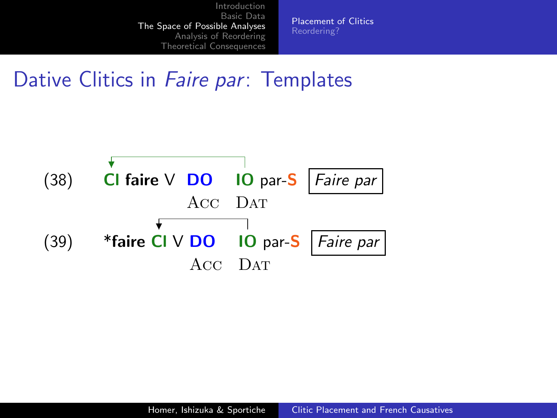**Placement of Clitics** 

## Dative Clitics in *Faire par*: Templates

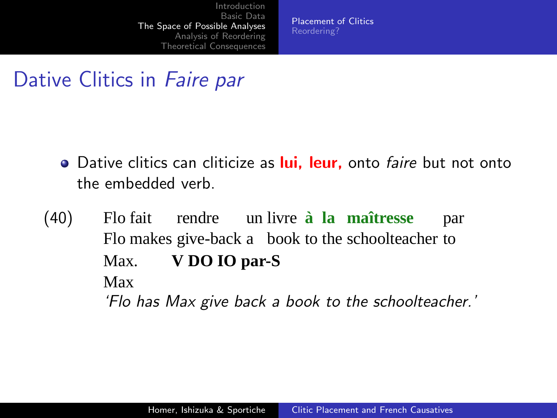[Placement of Clitics](#page-14-0)

## Dative Clitics in Faire par

- **.** Dative clitics can cliticize as **lui, leur,** onto *faire* but not onto the embedded verb.
- $(40)$ Flo makes give-back a book to the schoolteacher to Flo fait rendre un livre **à la maîtresse** par Max. **V DO IO par-S** Max 'Flo has Max give back a book to the schoolteacher.'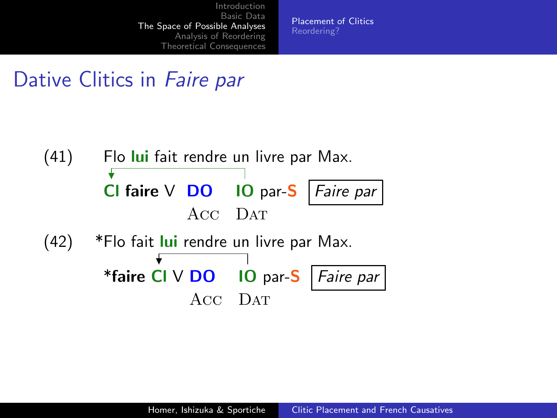[Placement of Clitics](#page-14-0)

# Dative Clitics in Faire par

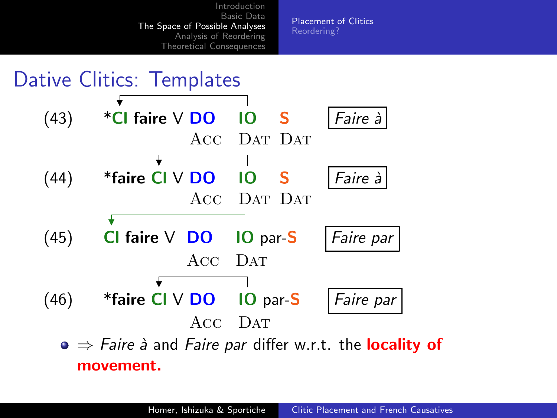

[Placement of Clitics](#page-14-0) [Reordering?](#page-30-0)

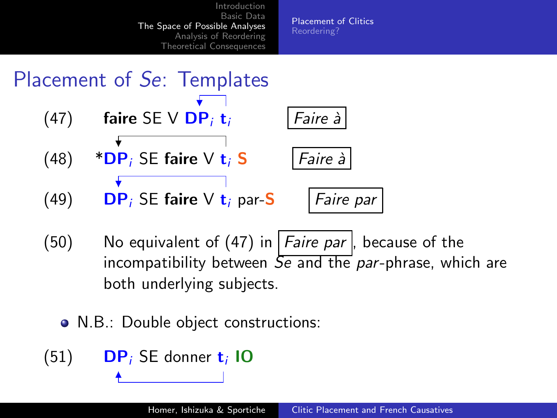

<span id="page-25-0"></span>[Placement of Clitics](#page-14-0) [Reordering?](#page-30-0)



- (50) No equivalent of [\(47\)](#page-25-0) in  $|F_0$  *Faire par*  $|$ , because of the incompatibility between  $\overline{Se}$  and the par-phrase, which are both underlying subjects.
	- N.B.: Double object constructions:

 $(51)$  DP; SE donner t<sub>i</sub> IO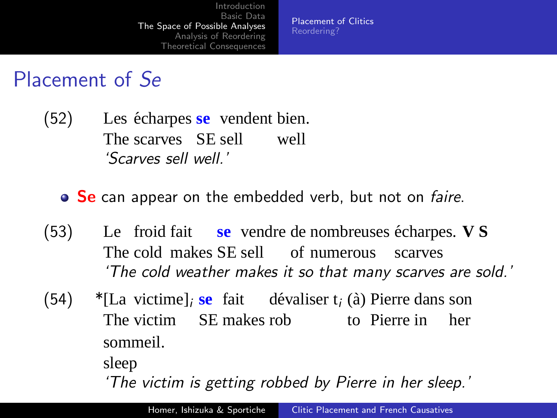[Placement of Clitics](#page-14-0) [Reordering?](#page-30-0)

#### Placement of Se

- $(52)$ The scarves SE sell écharpes se vendent bien. well 'Scarves sell well.'
	- Se can appear on the embedded verb, but not on faire.
- $(53)$ The cold makes SE sell of numerous froid fait se vendre de nombreuses écharpes. V S scarves 'The cold weather makes it so that many scarves are sold.'
- (54) \*[La victime]<sub>i</sub> se fait dévaliser  $t_i$  (à) Pierre dans son The victim SE makes rob to Pierre in her sommeil.

sleep

'The victim is getting robbed by Pierre in her sleep.'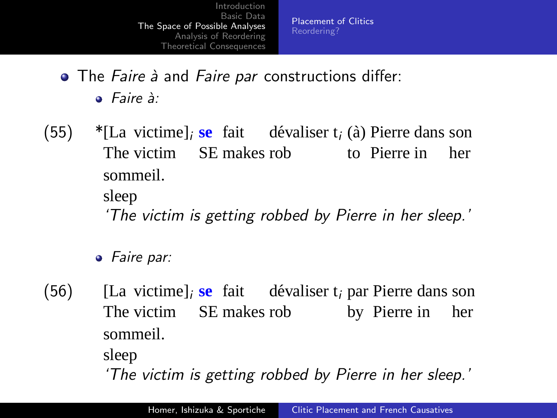[Placement of Clitics](#page-14-0) [Reordering?](#page-30-0)

 $\bullet$  The Faire  $\dot{a}$  and Faire par constructions differ:

 $\bullet$  Faire  $\lambda$ :

(55) \*[La victime]<sub>i</sub> se fait dévaliser  $t_i$  (à) Pierre dans son The victim SE makes rob to Pierre in her sommeil.

sleep

'The victim is getting robbed by Pierre in her sleep.'

• Faire par:

 $(56)$ The victim SE makes rob victime]<sub>i</sub> se fait dévaliser t<sub>i</sub> par Pierre dans son by Pierre in her sommeil.

sleep

'The victim is getting robbed by Pierre in her sleep.'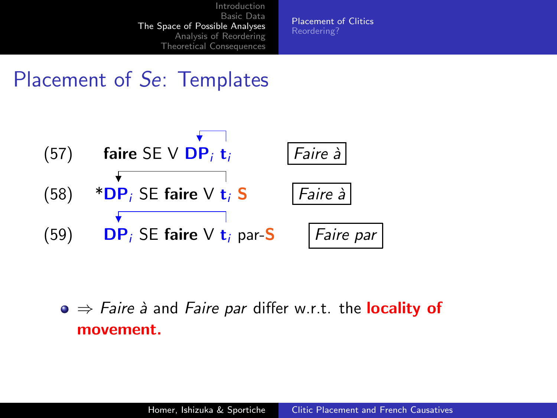[Placement of Clitics](#page-14-0)

## Placement of Se: Templates



 $\bullet \Rightarrow$  Faire à and Faire par differ w.r.t. the locality of movement.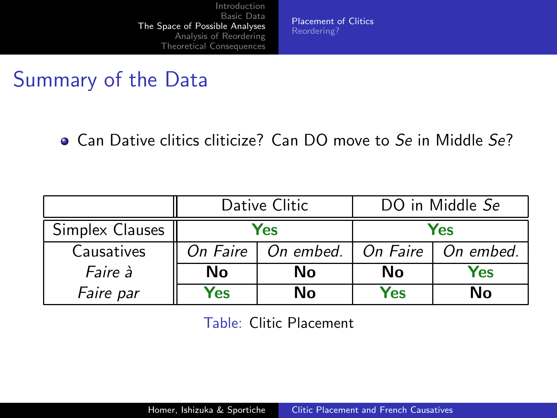**Placement of Clitics** 

# Summary of the Data

• Can Dative clitics cliticize? Can DO move to Se in Middle Se?

|                 | Dative Clitic |           | DO in Middle Se |           |  |
|-----------------|---------------|-----------|-----------------|-----------|--|
| Simplex Clauses | Yes           |           | Yes             |           |  |
| Causatives      | On Faire      | On embed. | On Faire        | On embed. |  |
| Faire à         | Nο            | Nο        | Nο              | Yes       |  |
| Faire par       | Yes           | Nο        | Yes             | Nο        |  |

Table: Clitic Placement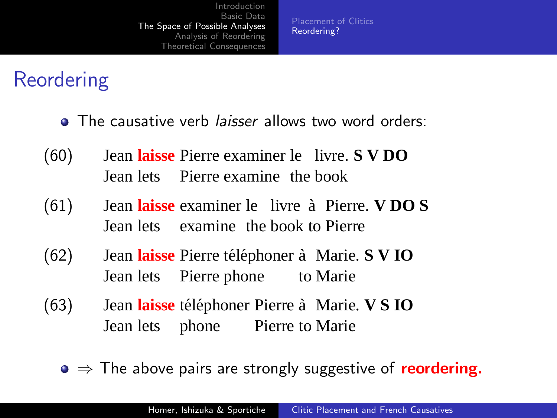# Reordering

- The causative verb *laisser* allows two word orders:
- $(60)$ Jean lets Pierre examine the book **laisse** Pierre examiner le livre. **S V DO**
- $(61)$ Jean lets examine the book to Pierre laisse examiner le livre à Pierre. **V DO S**
- (62) Jean laisse Pierre téléphoner à Marie. S V IO Jean lets Pierre phone to Marie
- <span id="page-30-0"></span>(63) Jean laisse téléphoner Pierre à Marie. V S IO Jean lets phone Pierre to Marie
	- $\bullet \Rightarrow$  The above pairs are strongly suggestive of reordering.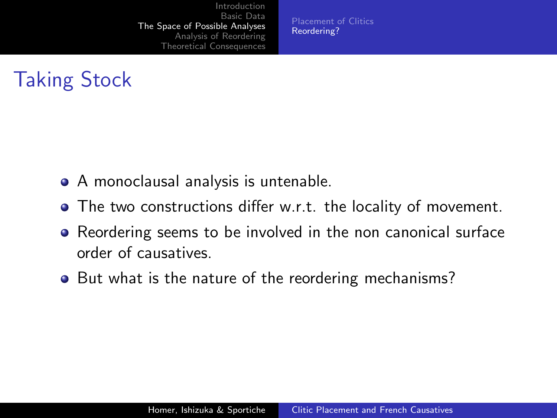[Placement of Clitics](#page-14-0) [Reordering?](#page-30-0)

## Taking Stock

- A monoclausal analysis is untenable.
- The two constructions differ w.r.t. the locality of movement.
- Reordering seems to be involved in the non canonical surface order of causatives.
- But what is the nature of the reordering mechanisms?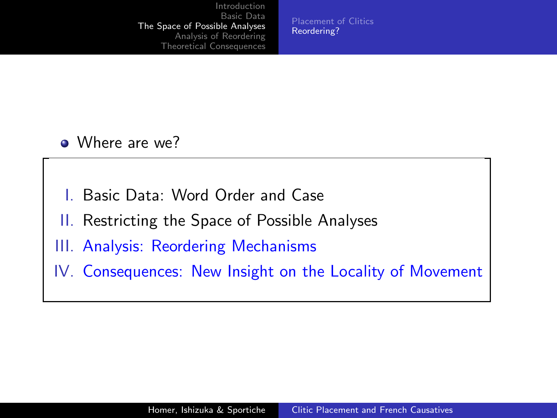[Placement of Clitics](#page-14-0) [Reordering?](#page-30-0)

- Where are we?
- I. Basic Data: Word Order and Case
- II. Restricting the Space of Possible Analyses
- III. Analysis: Reordering Mechanisms
- IV. Consequences: New Insight on the Locality of Movement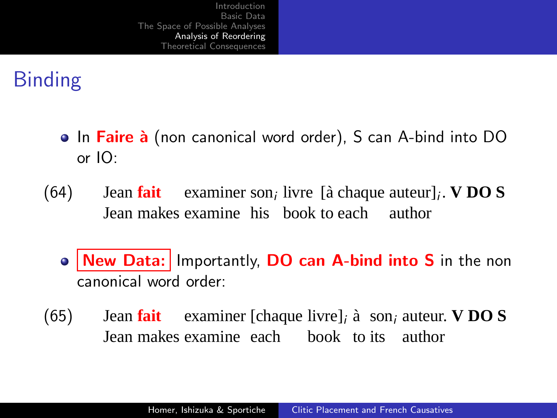# Binding

- **In Faire à** (non canonical word order), S can A-bind into DO or IO:
- $(64)$ Jean makes examine his book to each author **Jean fait** examiner son<sub>i</sub> livre [à chaque auteur]<sub>i</sub>. **V DO S** 
	- New Data: Importantly, DO can A-bind into S in the non canonical word order:
- <span id="page-33-0"></span> $(65)$ Jean makes examine each book to its author **Jean fait** examiner [chaque livre]<sub>*i*</sub> à son<sub>*i*</sub> auteur. **V DO S**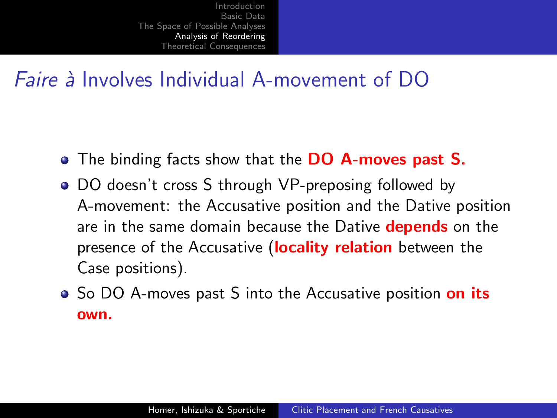### *Faire*  $\lambda$  Involves Individual A-movement of DO

- The binding facts show that the **DO A-moves past S.**
- DO doesn't cross S through VP-preposing followed by A-movement: the Accusative position and the Dative position are in the same domain because the Dative **depends** on the presence of the Accusative (locality relation between the Case positions).
- So DO A-moves past S into the Accusative position on its own.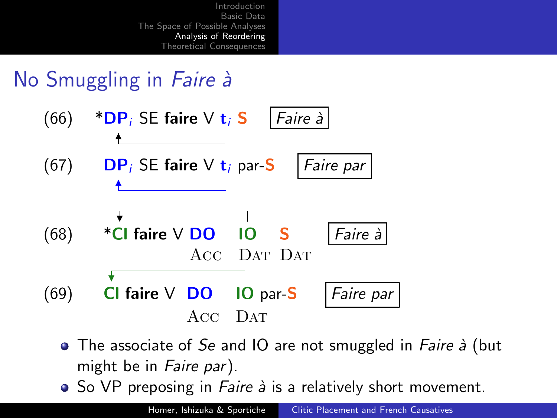# No Smuggling in Faire à



- $\bullet$  The associate of Se and IO are not smuggled in *Faire à* (but might be in Faire par).
- $\bullet$  So VP preposing in *Faire à* is a relatively short movement.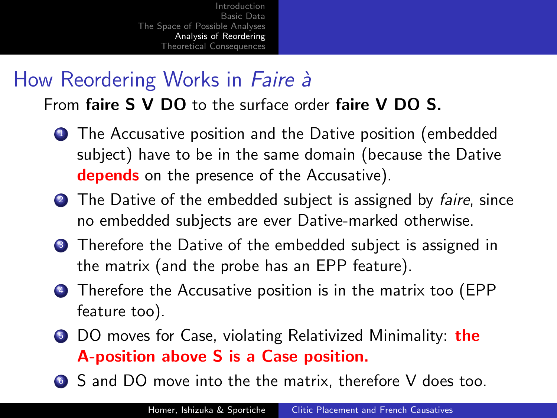# How Reordering Works in Faire à

From faire S V DO to the surface order faire V DO S.

- **1** The Accusative position and the Dative position (embedded subject) have to be in the same domain (because the Dative depends on the presence of the Accusative).
- 2 The Dative of the embedded subject is assigned by faire, since no embedded subjects are ever Dative-marked otherwise.
- **3** Therefore the Dative of the embedded subject is assigned in the matrix (and the probe has an EPP feature).
- <sup>4</sup> Therefore the Accusative position is in the matrix too (EPP feature too).
- **5** DO moves for Case, violating Relativized Minimality: the A-position above S is a Case position.
- <sup>6</sup> S and DO move into the the matrix, therefore V does too.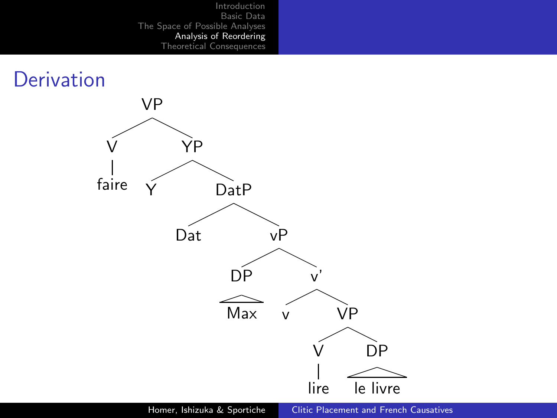#### **Derivation**

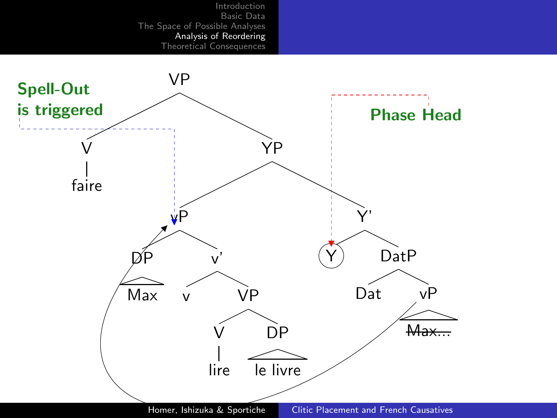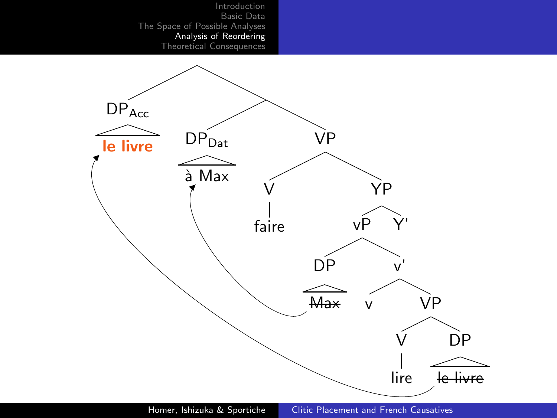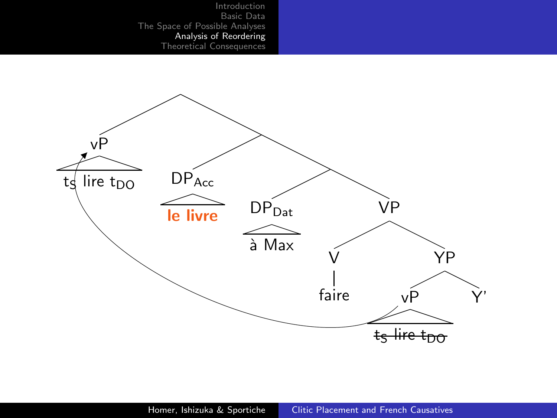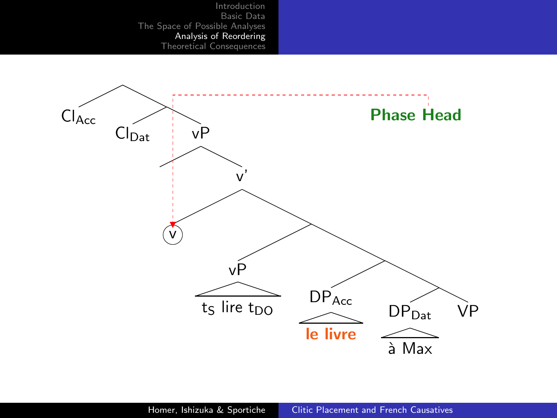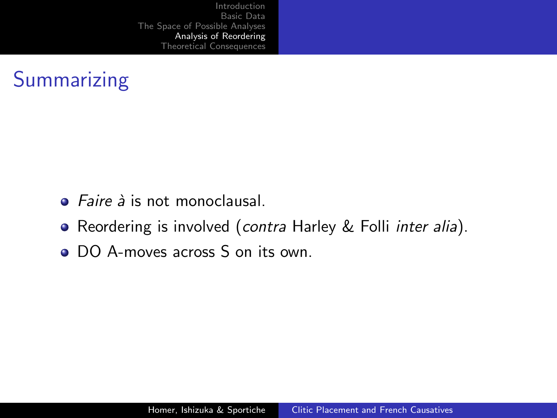## Summarizing

- $\bullet$  *Faire à* is not monoclausal
- Reordering is involved (contra Harley & Folli inter alia).
- DO A-moves across S on its own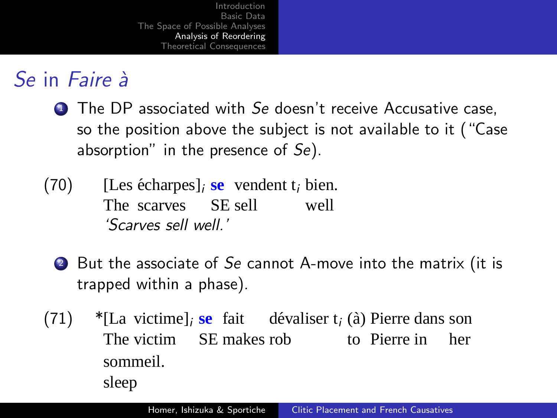# Se in *Faire* à

- **1** The DP associated with Se doesn't receive Accusative case, so the position above the subject is not available to it ("Case absorption" in the presence of  $Se$ ).
- $(70)$ The scarves SE sell  $\epsilon$ charpes]<sub>*i*</sub> **se** vendent t<sub>*i*</sub> bien. well 'Scarves sell well.'
	- 2 But the associate of Se cannot A-move into the matrix (it is trapped within a phase).
- (71) \*[La victime]<sub>i</sub> se fait dévaliser  $t_i$  (à) Pierre dans son The victim SE makes rob to Pierre in her sommeil. sleep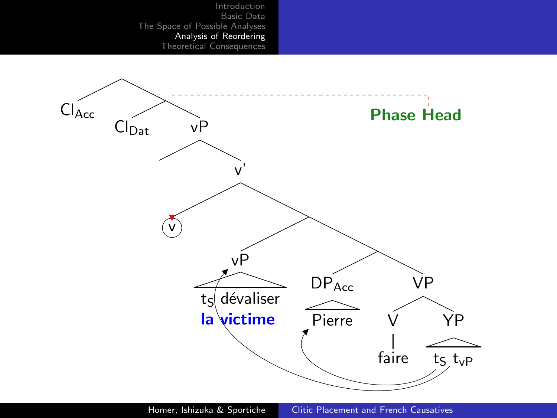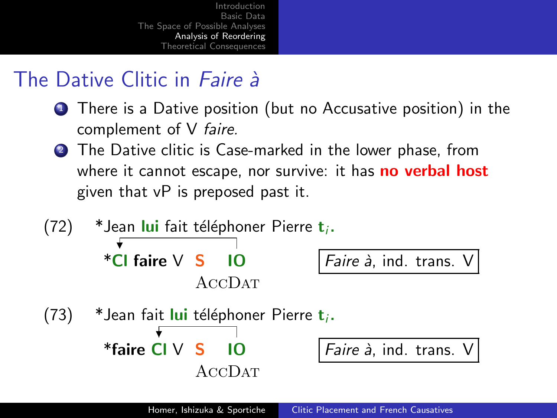## The Dative Clitic in  $Faire \, \lambda$

- **1** There is a Dative position (but no Accusative position) in the complement of V faire.
- 2 The Dative clitic is Case-marked in the lower phase, from where it cannot escape, nor survive: it has **no verbal host** given that vP is preposed past it.

(72) \* Jean **Iui** fait téléphoner Pierre 
$$
t_i
$$
.  
\n\*Cl faire V S IO  
\n $ACCDAT$   
\n(73) \* Jean fait **Iui** téléphoner Pierre  $t_i$ .  
\n\*faire Cl V S IO  
\n $ACCDAT$   
\n $ACCDAT$   
\n $4CCDAT$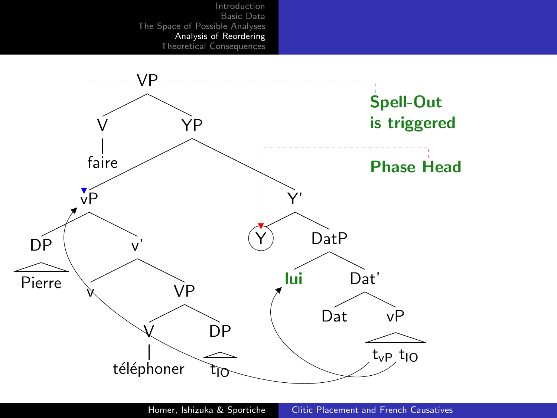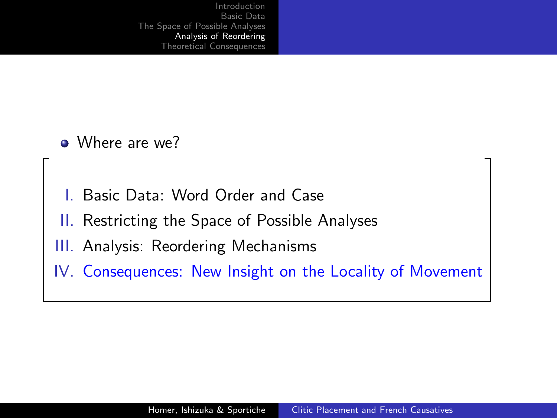• Where are we?

- Basic Data: Word Order and Case
- II. Restricting the Space of Possible Analyses
- III. Analysis: Reordering Mechanisms
- IV. Consequences: New Insight on the Locality of Movement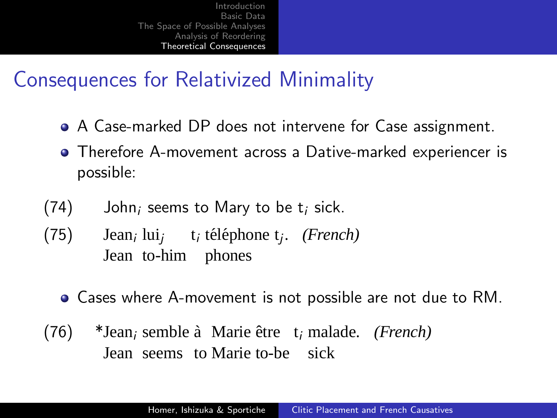## Consequences for Relativized Minimality

- A Case-marked DP does not intervene for Case assignment.
- Therefore A-movement across a Dative-marked experiencer is possible:
- $(74)$  John; seems to Mary to be t; sick.
- (75) Jean<sub>i</sub> lui<sub>j</sub> t<sub>i</sub> téléphone t<sub>j</sub>. *(French)* Jean to-him phones
	- Cases where A-movement is not possible are not due to RM.
- <span id="page-48-0"></span>(76) \*Jean<sub>i</sub> semble à Marie être t<sub>i</sub> malade. *(French)* Jean seems to Marie to-be sick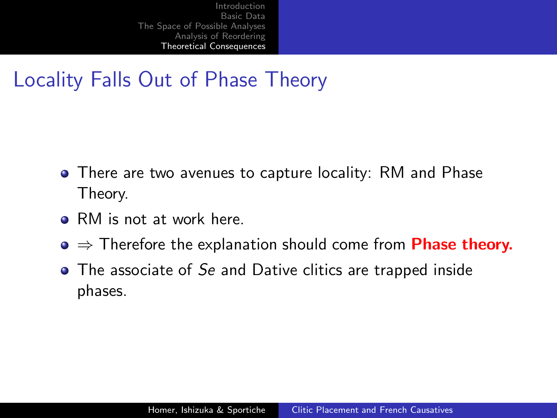## Locality Falls Out of Phase Theory

- There are two avenues to capture locality: RM and Phase Theory.
- RM is not at work here.
- $\bullet \Rightarrow$  Therefore the explanation should come from **Phase theory.**
- The associate of Se and Dative clitics are trapped inside phases.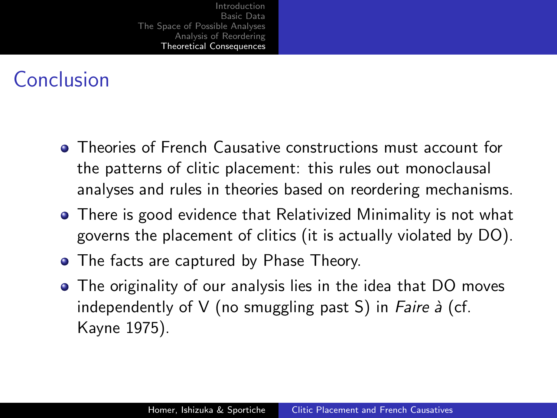# Conclusion

- Theories of French Causative constructions must account for the patterns of clitic placement: this rules out monoclausal analyses and rules in theories based on reordering mechanisms.
- **•** There is good evidence that Relativized Minimality is not what governs the placement of clitics (it is actually violated by DO).
- The facts are captured by Phase Theory.
- The originality of our analysis lies in the idea that DO moves independently of V (no smuggling past S) in *Faire à* (cf. Kayne 1975).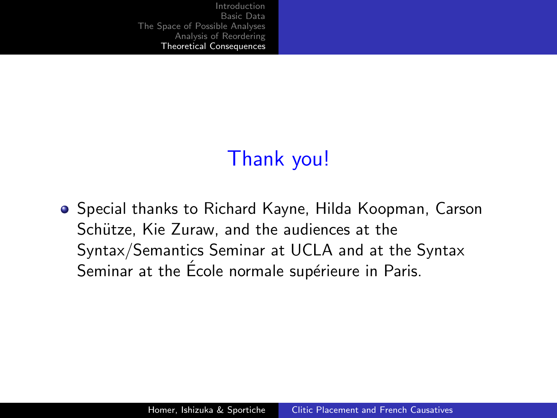# <span id="page-51-0"></span>Thank you!

**•** Special thanks to Richard Kayne, Hilda Koopman, Carson Schütze, Kie Zuraw, and the audiences at the Syntax/Semantics Seminar at UCLA and at the Syntax Seminar at the Ecole normale supérieure in Paris.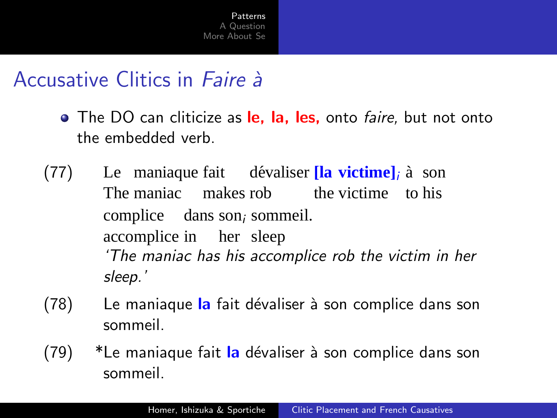## Accusative Clitics in *Faire* à

- The DO can cliticize as le, la, les, onto *faire*, but not onto the embedded verb
- Le maniaque fait dévaliser [la victime]; à son  $(77)$ The maniac makes rob the victime to his complice dans son<sub>i</sub> sommeil. accomplice in her sleep 'The maniac has his accomplice rob the victim in her sleep.'
- $(78)$ Le maniaque la fait dévaliser à son complice dans son sommeil.
- <span id="page-52-0"></span> $(79)$ \*Le maniaque fait la dévaliser à son complice dans son sommeil.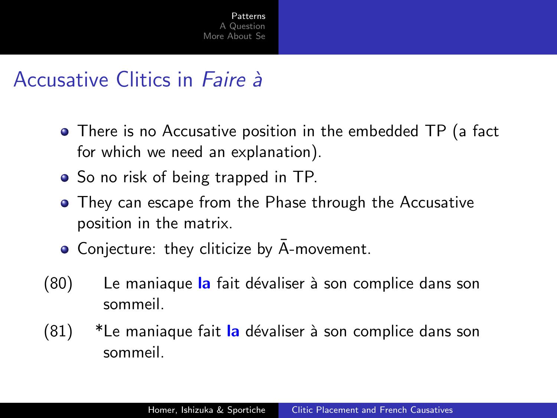## Accusative Clitics in Faire à

- There is no Accusative position in the embedded TP (a fact for which we need an explanation).
- So no risk of being trapped in TP.
- They can escape from the Phase through the Accusative position in the matrix.
- Conjecture: they cliticize by A-movement.
- (80) Le maniaque la fait dévaliser à son complice dans son sommeil.
- (81) \*Le maniaque fait la dévaliser à son complice dans son sommeil.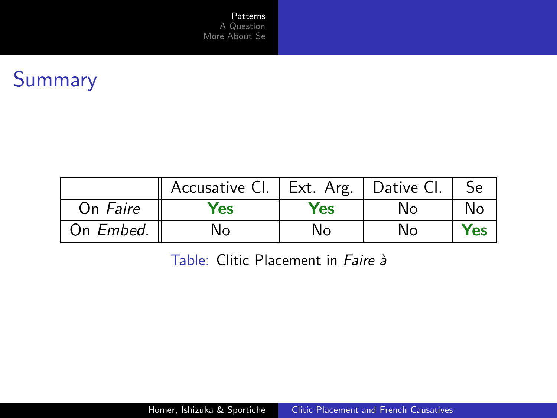Patterns A Question More About Se

# Summary

|           | Accusative Cl.   Ext. Arg.   Dative Cl. |            |    |            |
|-----------|-----------------------------------------|------------|----|------------|
| On Faire  | Yes                                     | <b>Yes</b> | N۵ |            |
| On Embed. | No                                      | No         | N٥ | <b>Yes</b> |

Table: Clitic Placement in Faire à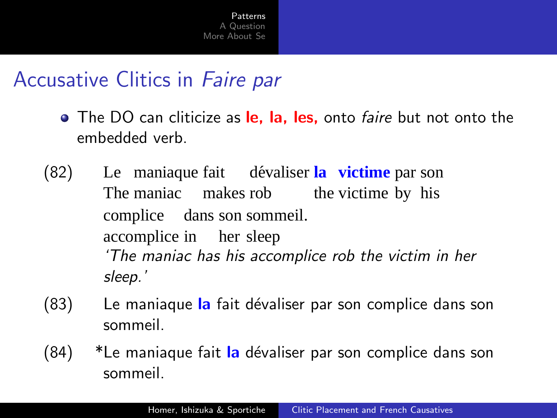## Accusative Clitics in Faire par

- The DO can cliticize as le, la, les, onto *faire* but not onto the embedded verb.
- $(82)$ The maniac makes rob maniaque fait dévaliser la victime par son the victime by his complice dans son sommeil. accomplice in her sleep 'The maniac has his accomplice rob the victim in her sleep.'
- (83) Le maniaque la fait dévaliser par son complice dans son sommeil.
- (84) \*Le maniaque fait la dévaliser par son complice dans son sommeil.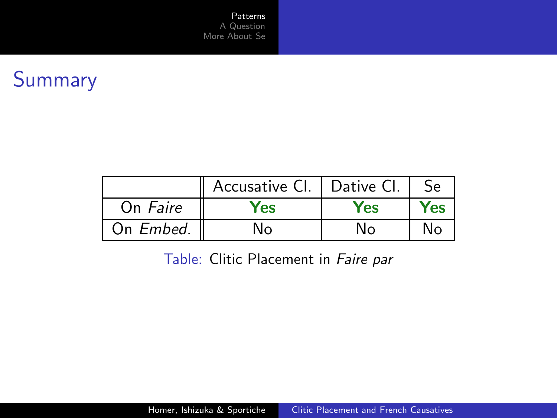[Patterns](#page-52-0) [A Question](#page-57-0) [More About Se](#page-58-0)

# Summary

|           | Accusative Cl. | .   Dative Cl. | Se   |
|-----------|----------------|----------------|------|
| On Faire  | res            | Yes            | res. |
| On Embed. | ง∩             | ึง∩            |      |

Table: Clitic Placement in Faire par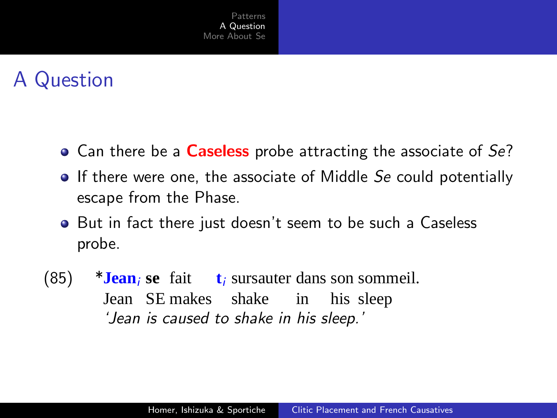# A Question

- Can there be a **Caseless** probe attracting the associate of Se?
- **If there were one, the associate of Middle Se could potentially** escape from the Phase.
- But in fact there just doesn't seem to be such a Caseless probe.
- <span id="page-57-0"></span>(85)  $***Jean**<sub>i</sub> **se fair t**<sub>i</sub> **surs auter dans son sommeil.**$ Jean SE makes shake in his sleep 'Jean is caused to shake in his sleep.'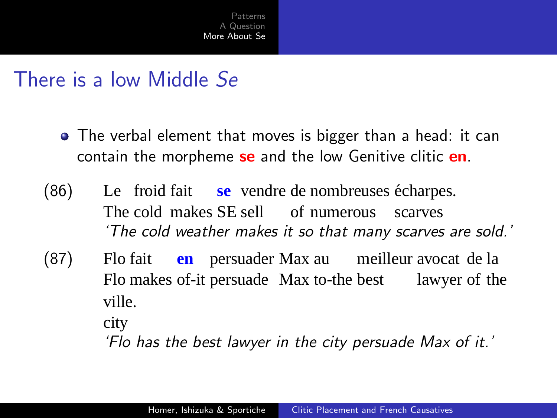#### There is a low Middle Se

- The verbal element that moves is bigger than a head: it can contain the morpheme se and the low Genitive clitic en.
- $(86)$ The cold makes SE sell of numerous froid fait se vendre de nombreuses écharpes. scarves 'The cold weather makes it so that many scarves are sold.'
- $(87)$ Flo makes of-it persuade Max to-the best lawyer of the Flo fait **en** persuader Max au meilleur avocat de la ville.

city

<span id="page-58-0"></span>'Flo has the best lawyer in the city persuade Max of it.'